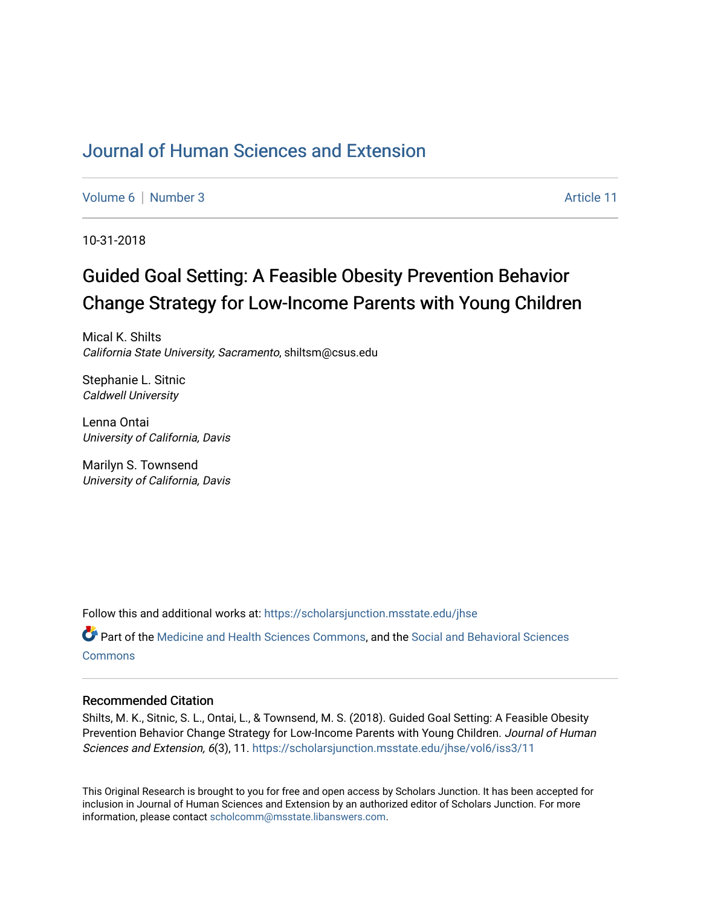# [Journal of Human Sciences and Extension](https://scholarsjunction.msstate.edu/jhse)

[Volume 6](https://scholarsjunction.msstate.edu/jhse/vol6) [Number 3](https://scholarsjunction.msstate.edu/jhse/vol6/iss3) Article 11

10-31-2018

# Guided Goal Setting: A Feasible Obesity Prevention Behavior Change Strategy for Low-Income Parents with Young Children

Mical K. Shilts California State University, Sacramento, shiltsm@csus.edu

Stephanie L. Sitnic Caldwell University

Lenna Ontai University of California, Davis

Marilyn S. Townsend University of California, Davis

Follow this and additional works at: [https://scholarsjunction.msstate.edu/jhse](https://scholarsjunction.msstate.edu/jhse?utm_source=scholarsjunction.msstate.edu%2Fjhse%2Fvol6%2Fiss3%2F11&utm_medium=PDF&utm_campaign=PDFCoverPages)

Part of the [Medicine and Health Sciences Commons,](http://network.bepress.com/hgg/discipline/648?utm_source=scholarsjunction.msstate.edu%2Fjhse%2Fvol6%2Fiss3%2F11&utm_medium=PDF&utm_campaign=PDFCoverPages) and the [Social and Behavioral Sciences](http://network.bepress.com/hgg/discipline/316?utm_source=scholarsjunction.msstate.edu%2Fjhse%2Fvol6%2Fiss3%2F11&utm_medium=PDF&utm_campaign=PDFCoverPages) **[Commons](http://network.bepress.com/hgg/discipline/316?utm_source=scholarsjunction.msstate.edu%2Fjhse%2Fvol6%2Fiss3%2F11&utm_medium=PDF&utm_campaign=PDFCoverPages)** 

#### Recommended Citation

Shilts, M. K., Sitnic, S. L., Ontai, L., & Townsend, M. S. (2018). Guided Goal Setting: A Feasible Obesity Prevention Behavior Change Strategy for Low-Income Parents with Young Children. Journal of Human Sciences and Extension, 6(3), 11. [https://scholarsjunction.msstate.edu/jhse/vol6/iss3/11](https://scholarsjunction.msstate.edu/jhse/vol6/iss3/11?utm_source=scholarsjunction.msstate.edu%2Fjhse%2Fvol6%2Fiss3%2F11&utm_medium=PDF&utm_campaign=PDFCoverPages)

This Original Research is brought to you for free and open access by Scholars Junction. It has been accepted for inclusion in Journal of Human Sciences and Extension by an authorized editor of Scholars Junction. For more information, please contact [scholcomm@msstate.libanswers.com](mailto:scholcomm@msstate.libanswers.com).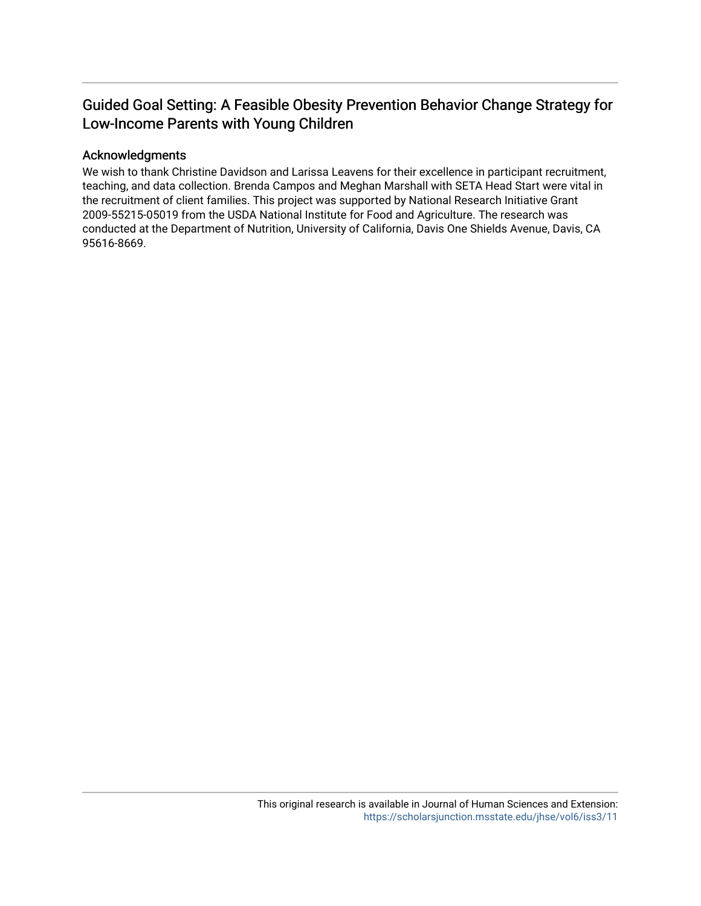# Guided Goal Setting: A Feasible Obesity Prevention Behavior Change Strategy for Low-Income Parents with Young Children

#### Acknowledgments

We wish to thank Christine Davidson and Larissa Leavens for their excellence in participant recruitment, teaching, and data collection. Brenda Campos and Meghan Marshall with SETA Head Start were vital in the recruitment of client families. This project was supported by National Research Initiative Grant 2009-55215-05019 from the USDA National Institute for Food and Agriculture. The research was conducted at the Department of Nutrition, University of California, Davis One Shields Avenue, Davis, CA 95616-8669.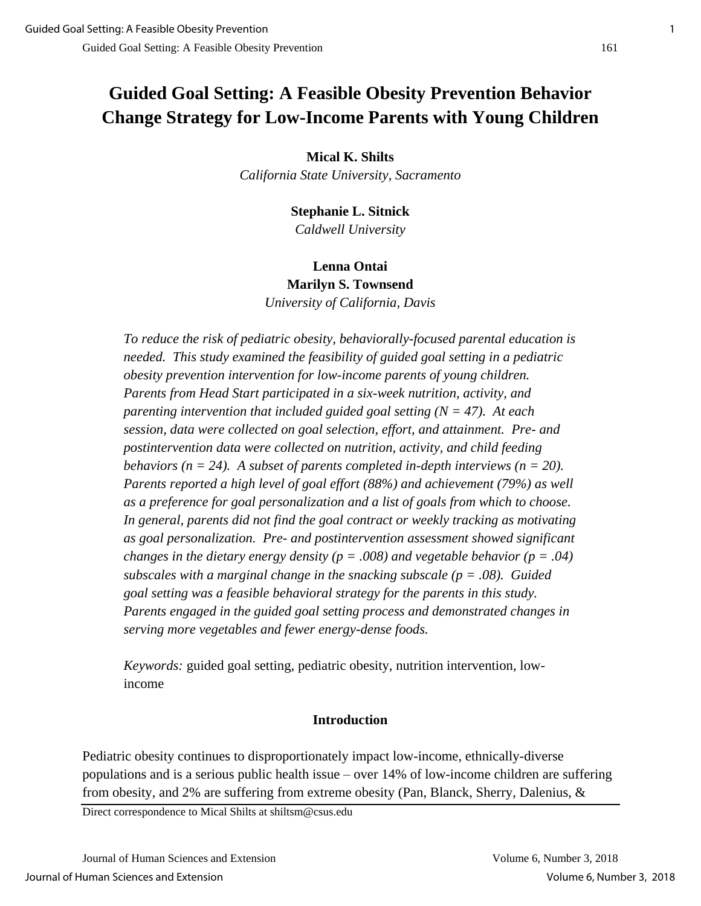# **Guided Goal Setting: A Feasible Obesity Prevention Behavior Change Strategy for Low-Income Parents with Young Children**

## **Mical K. Shilts**

*California State University, Sacramento*

## **Stephanie L. Sitnick** *Caldwell University*

# **Lenna Ontai Marilyn S. Townsend** *University of California, Davis*

*To reduce the risk of pediatric obesity, behaviorally-focused parental education is needed. This study examined the feasibility of guided goal setting in a pediatric obesity prevention intervention for low-income parents of young children. Parents from Head Start participated in a six-week nutrition, activity, and parenting intervention that included guided goal setting (N = 47). At each session, data were collected on goal selection, effort, and attainment. Pre- and postintervention data were collected on nutrition, activity, and child feeding behaviors* ( $n = 24$ ). A subset of parents completed in-depth interviews ( $n = 20$ ). *Parents reported a high level of goal effort (88%) and achievement (79%) as well as a preference for goal personalization and a list of goals from which to choose. In general, parents did not find the goal contract or weekly tracking as motivating as goal personalization. Pre- and postintervention assessment showed significant changes in the dietary energy density (p = .008) and vegetable behavior (p = .04) subscales with a marginal change in the snacking subscale (p = .08). Guided goal setting was a feasible behavioral strategy for the parents in this study. Parents engaged in the guided goal setting process and demonstrated changes in serving more vegetables and fewer energy-dense foods.* 

*Keywords:* guided goal setting, pediatric obesity, nutrition intervention, lowincome

## **Introduction**

Pediatric obesity continues to disproportionately impact low-income, ethnically-diverse populations and is a serious public health issue – over 14% of low-income children are suffering from obesity, and 2% are suffering from extreme obesity (Pan, Blanck, Sherry, Dalenius, &

Direct correspondence to Mical Shilts at shiltsm@csus.edu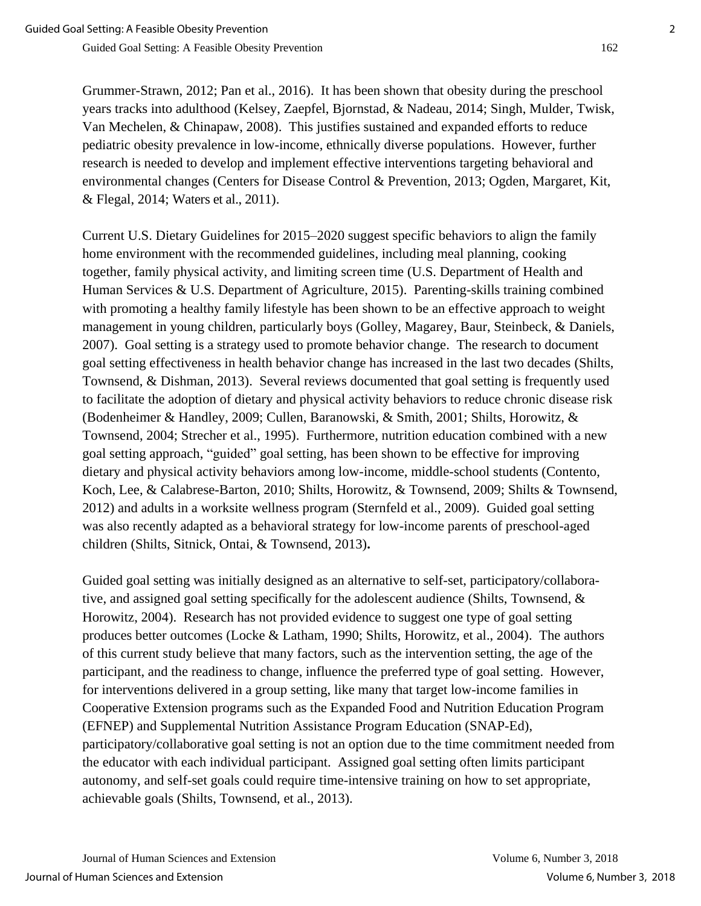Grummer-Strawn, 2012; Pan et al., 2016). It has been shown that obesity during the preschool years tracks into adulthood (Kelsey, Zaepfel, Bjornstad, & Nadeau, 2014; Singh, Mulder, Twisk, Van Mechelen, & Chinapaw, 2008). This justifies sustained and expanded efforts to reduce pediatric obesity prevalence in low-income, ethnically diverse populations. However, further research is needed to develop and implement effective interventions targeting behavioral and environmental changes (Centers for Disease Control & Prevention, 2013; Ogden, Margaret, Kit, & Flegal, 2014; Waters et al., 2011).

Current U.S. Dietary Guidelines for 2015–2020 suggest specific behaviors to align the family home environment with the recommended guidelines, including meal planning, cooking together, family physical activity, and limiting screen time (U.S. Department of Health and Human Services & U.S. Department of Agriculture, 2015). Parenting-skills training combined with promoting a healthy family lifestyle has been shown to be an effective approach to weight management in young children, particularly boys (Golley, Magarey, Baur, Steinbeck, & Daniels, 2007). Goal setting is a strategy used to promote behavior change. The research to document goal setting effectiveness in health behavior change has increased in the last two decades (Shilts, Townsend, & Dishman, 2013). Several reviews documented that goal setting is frequently used to facilitate the adoption of dietary and physical activity behaviors to reduce chronic disease risk (Bodenheimer & Handley, 2009; Cullen, Baranowski, & Smith, 2001; Shilts, Horowitz, & Townsend, 2004; Strecher et al., 1995). Furthermore, nutrition education combined with a new goal setting approach, "guided" goal setting, has been shown to be effective for improving dietary and physical activity behaviors among low-income, middle-school students (Contento, Koch, Lee, & Calabrese-Barton, 2010; Shilts, Horowitz, & Townsend, 2009; Shilts & Townsend, 2012) and adults in a worksite wellness program (Sternfeld et al., 2009). Guided goal setting was also recently adapted as a behavioral strategy for low-income parents of preschool-aged children (Shilts, Sitnick, Ontai, & Townsend, 2013)**.**

Guided goal setting was initially designed as an alternative to self-set, participatory/collaborative, and assigned goal setting specifically for the adolescent audience (Shilts, Townsend, & Horowitz, 2004). Research has not provided evidence to suggest one type of goal setting produces better outcomes (Locke & Latham, 1990; Shilts, Horowitz, et al., 2004). The authors of this current study believe that many factors, such as the intervention setting, the age of the participant, and the readiness to change, influence the preferred type of goal setting. However, for interventions delivered in a group setting, like many that target low-income families in Cooperative Extension programs such as the Expanded Food and Nutrition Education Program (EFNEP) and Supplemental Nutrition Assistance Program Education (SNAP-Ed), participatory/collaborative goal setting is not an option due to the time commitment needed from the educator with each individual participant. Assigned goal setting often limits participant autonomy, and self-set goals could require time-intensive training on how to set appropriate, achievable goals (Shilts, Townsend, et al., 2013).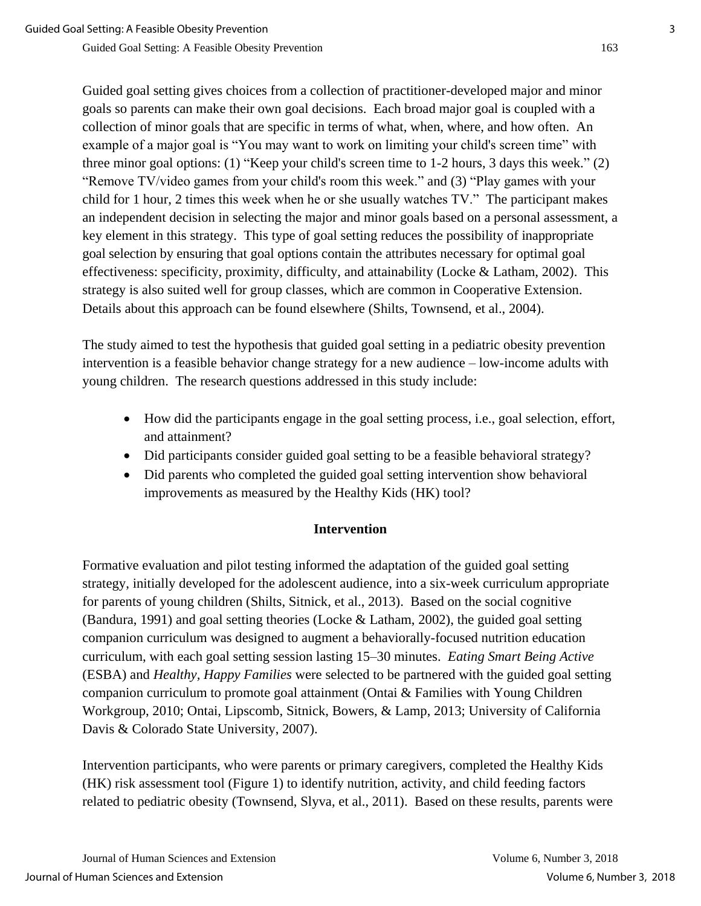Guided goal setting gives choices from a collection of practitioner-developed major and minor goals so parents can make their own goal decisions.Each broad major goal is coupled with a collection of minor goals that are specific in terms of what, when, where, and how often. An example of a major goal is "You may want to work on limiting your child's screen time" with three minor goal options: (1) "Keep your child's screen time to 1-2 hours, 3 days this week." (2) "Remove TV/video games from your child's room this week." and (3) "Play games with your child for 1 hour, 2 times this week when he or she usually watches TV." The participant makes an independent decision in selecting the major and minor goals based on a personal assessment, a key element in this strategy. This type of goal setting reduces the possibility of inappropriate goal selection by ensuring that goal options contain the attributes necessary for optimal goal effectiveness: specificity, proximity, difficulty, and attainability (Locke & Latham, 2002). This strategy is also suited well for group classes, which are common in Cooperative Extension. Details about this approach can be found elsewhere (Shilts, Townsend, et al., 2004).

The study aimed to test the hypothesis that guided goal setting in a pediatric obesity prevention intervention is a feasible behavior change strategy for a new audience – low-income adults with young children. The research questions addressed in this study include:

- How did the participants engage in the goal setting process, i.e., goal selection, effort, and attainment?
- Did participants consider guided goal setting to be a feasible behavioral strategy?
- Did parents who completed the guided goal setting intervention show behavioral improvements as measured by the Healthy Kids (HK) tool?

# **Intervention**

Formative evaluation and pilot testing informed the adaptation of the guided goal setting strategy, initially developed for the adolescent audience, into a six-week curriculum appropriate for parents of young children (Shilts, Sitnick, et al., 2013). Based on the social cognitive (Bandura, 1991) and goal setting theories (Locke & Latham, 2002), the guided goal setting companion curriculum was designed to augment a behaviorally-focused nutrition education curriculum, with each goal setting session lasting 15–30 minutes. *Eating Smart Being Active* (ESBA) and *Healthy, Happy Families* were selected to be partnered with the guided goal setting companion curriculum to promote goal attainment (Ontai & Families with Young Children Workgroup, 2010; Ontai, Lipscomb, Sitnick, Bowers, & Lamp, 2013; University of California Davis & Colorado State University, 2007).

Intervention participants, who were parents or primary caregivers, completed the Healthy Kids (HK) risk assessment tool (Figure 1) to identify nutrition, activity, and child feeding factors related to pediatric obesity (Townsend, Slyva, et al., 2011). Based on these results, parents were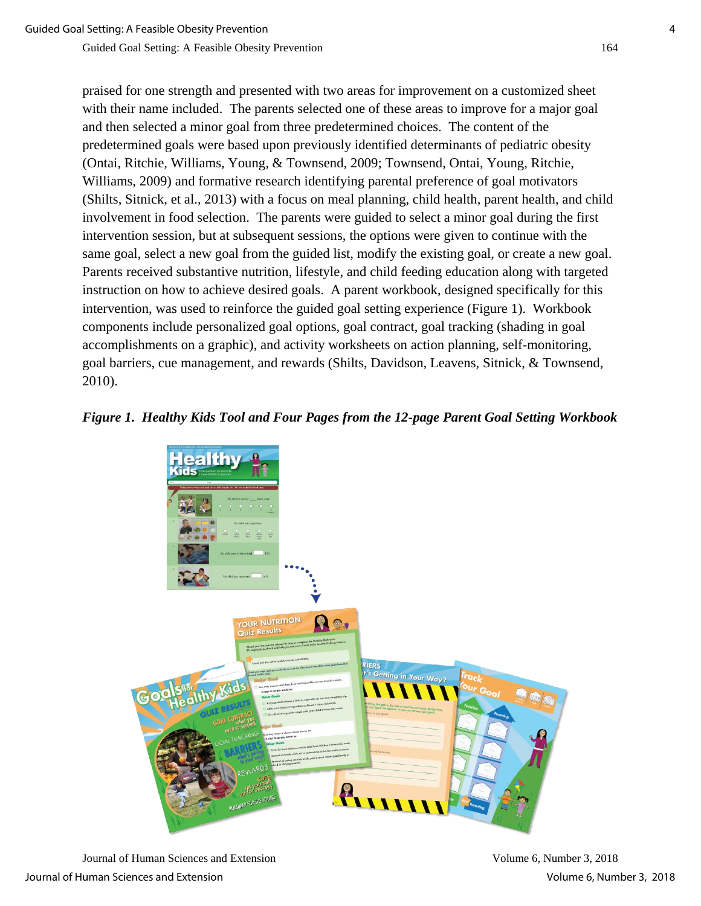praised for one strength and presented with two areas for improvement on a customized sheet with their name included. The parents selected one of these areas to improve for a major goal and then selected a minor goal from three predetermined choices. The content of the predetermined goals were based upon previously identified determinants of pediatric obesity (Ontai, Ritchie, Williams, Young, & Townsend, 2009; Townsend, Ontai, Young, Ritchie, Williams, 2009) and formative research identifying parental preference of goal motivators (Shilts, Sitnick, et al., 2013) with a focus on meal planning, child health, parent health, and child involvement in food selection. The parents were guided to select a minor goal during the first intervention session, but at subsequent sessions, the options were given to continue with the same goal, select a new goal from the guided list, modify the existing goal, or create a new goal. Parents received substantive nutrition, lifestyle, and child feeding education along with targeted instruction on how to achieve desired goals. A parent workbook, designed specifically for this intervention, was used to reinforce the guided goal setting experience (Figure 1). Workbook components include personalized goal options, goal contract, goal tracking (shading in goal accomplishments on a graphic), and activity worksheets on action planning, self-monitoring, goal barriers, cue management, and rewards (Shilts, Davidson, Leavens, Sitnick, & Townsend, 2010).

#### *Figure 1. Healthy Kids Tool and Four Pages from the 12-page Parent Goal Setting Workbook*



Journal of Human Sciences and Extension Volume 6, Number 3, 2018 Journal of Human Sciences and Extension Volume 6, Number 3, 2018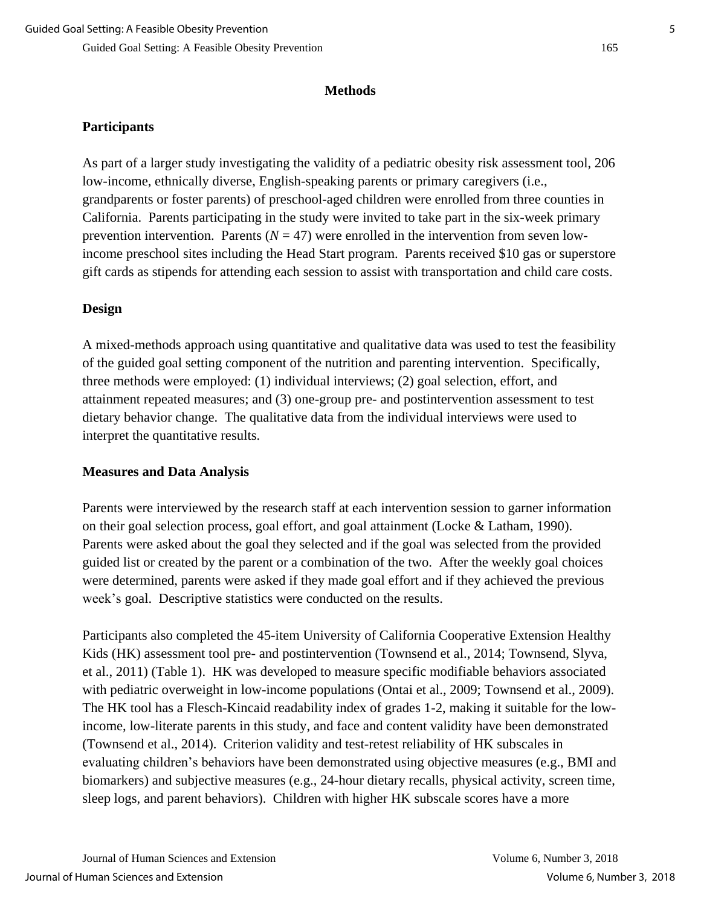# **Methods**

# **Participants**

As part of a larger study investigating the validity of a pediatric obesity risk assessment tool, 206 low-income, ethnically diverse, English-speaking parents or primary caregivers (i.e., grandparents or foster parents) of preschool-aged children were enrolled from three counties in California. Parents participating in the study were invited to take part in the six-week primary prevention intervention. Parents  $(N = 47)$  were enrolled in the intervention from seven lowincome preschool sites including the Head Start program. Parents received \$10 gas or superstore gift cards as stipends for attending each session to assist with transportation and child care costs.

# **Design**

A mixed-methods approach using quantitative and qualitative data was used to test the feasibility of the guided goal setting component of the nutrition and parenting intervention. Specifically, three methods were employed: (1) individual interviews; (2) goal selection, effort, and attainment repeated measures; and (3) one-group pre- and postintervention assessment to test dietary behavior change. The qualitative data from the individual interviews were used to interpret the quantitative results.

## **Measures and Data Analysis**

Parents were interviewed by the research staff at each intervention session to garner information on their goal selection process, goal effort, and goal attainment (Locke & Latham, 1990). Parents were asked about the goal they selected and if the goal was selected from the provided guided list or created by the parent or a combination of the two. After the weekly goal choices were determined, parents were asked if they made goal effort and if they achieved the previous week's goal. Descriptive statistics were conducted on the results.

Participants also completed the 45-item University of California Cooperative Extension Healthy Kids (HK) assessment tool pre- and postintervention (Townsend et al., 2014; Townsend, Slyva, et al., 2011) (Table 1). HK was developed to measure specific modifiable behaviors associated with pediatric overweight in low-income populations (Ontai et al., 2009; Townsend et al., 2009). The HK tool has a Flesch-Kincaid readability index of grades 1-2, making it suitable for the lowincome, low-literate parents in this study, and face and content validity have been demonstrated (Townsend et al., 2014). Criterion validity and test-retest reliability of HK subscales in evaluating children's behaviors have been demonstrated using objective measures (e.g., BMI and biomarkers) and subjective measures (e.g., 24-hour dietary recalls, physical activity, screen time, sleep logs, and parent behaviors). Children with higher HK subscale scores have a more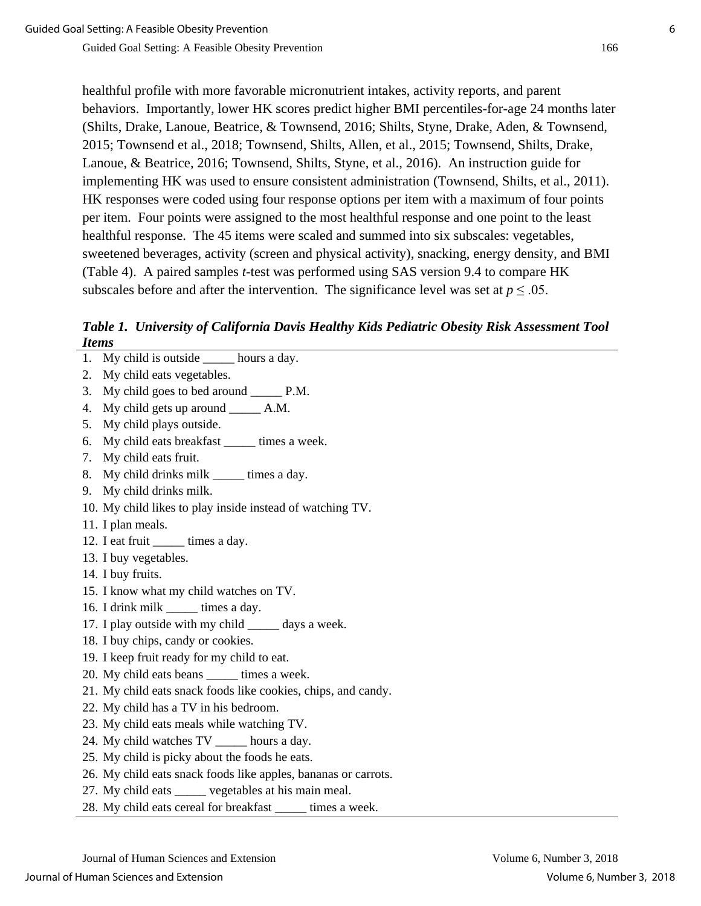healthful profile with more favorable micronutrient intakes, activity reports, and parent behaviors. Importantly, lower HK scores predict higher BMI percentiles-for-age 24 months later (Shilts, Drake, Lanoue, Beatrice, & Townsend, 2016; Shilts, Styne, Drake, Aden, & Townsend, 2015; Townsend et al., 2018; Townsend, Shilts, Allen, et al., 2015; Townsend, Shilts, Drake, Lanoue, & Beatrice, 2016; Townsend, Shilts, Styne, et al., 2016). An instruction guide for implementing HK was used to ensure consistent administration (Townsend, Shilts, et al., 2011). HK responses were coded using four response options per item with a maximum of four points per item. Four points were assigned to the most healthful response and one point to the least healthful response. The 45 items were scaled and summed into six subscales: vegetables, sweetened beverages, activity (screen and physical activity), snacking, energy density, and BMI (Table 4). A paired samples *t*-test was performed using SAS version 9.4 to compare HK subscales before and after the intervention. The significance level was set at  $p \leq 0.05$ .

*Table 1. University of California Davis Healthy Kids Pediatric Obesity Risk Assessment Tool Items*

- 1. My child is outside \_\_\_\_\_ hours a day.
- 2. My child eats vegetables.
- 3. My child goes to bed around P.M.
- 4. My child gets up around \_\_\_\_\_ A.M.
- 5. My child plays outside.
- 6. My child eats breakfast times a week.
- 7. My child eats fruit.
- 8. My child drinks milk \_\_\_\_\_ times a day.
- 9. My child drinks milk.
- 10. My child likes to play inside instead of watching TV.
- 11. I plan meals.
- 12. I eat fruit \_\_\_\_\_\_ times a day.
- 13. I buy vegetables.
- 14. I buy fruits.
- 15. I know what my child watches on TV.
- 16. I drink milk times a day.
- 17. I play outside with my child days a week.
- 18. I buy chips, candy or cookies.
- 19. I keep fruit ready for my child to eat.
- 20. My child eats beans \_\_\_\_\_ times a week.
- 21. My child eats snack foods like cookies, chips, and candy.
- 22. My child has a TV in his bedroom.
- 23. My child eats meals while watching TV.
- 24. My child watches TV \_\_\_\_\_ hours a day.
- 25. My child is picky about the foods he eats.
- 26. My child eats snack foods like apples, bananas or carrots.
- 27. My child eats \_\_\_\_\_ vegetables at his main meal.
- 28. My child eats cereal for breakfast times a week.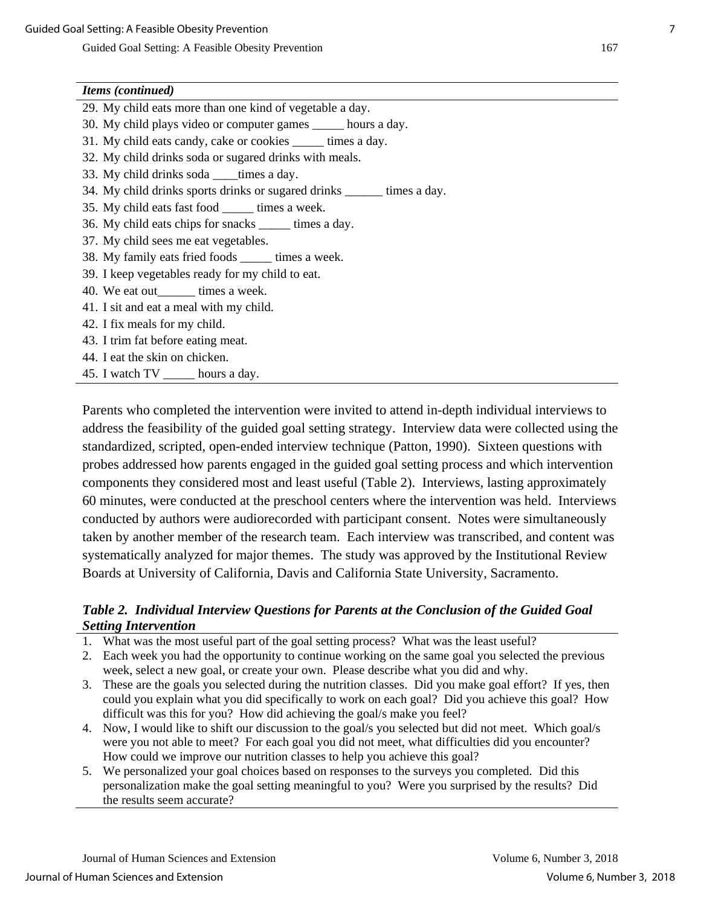#### *Items (continued)*

- 29. My child eats more than one kind of vegetable a day.
- 30. My child plays video or computer games \_\_\_\_\_ hours a day.
- 31. My child eats candy, cake or cookies times a day.
- 32. My child drinks soda or sugared drinks with meals.
- 33. My child drinks soda times a day.
- 34. My child drinks sports drinks or sugared drinks times a day.
- 35. My child eats fast food \_\_\_\_\_ times a week.
- 36. My child eats chips for snacks \_\_\_\_\_ times a day.
- 37. My child sees me eat vegetables.
- 38. My family eats fried foods \_\_\_\_\_ times a week.
- 39. I keep vegetables ready for my child to eat.
- 40. We eat out\_\_\_\_\_\_ times a week.
- 41. I sit and eat a meal with my child.
- 42. I fix meals for my child.
- 43. I trim fat before eating meat.
- 44. I eat the skin on chicken.
- 45. I watch TV hours a day.

Parents who completed the intervention were invited to attend in-depth individual interviews to address the feasibility of the guided goal setting strategy. Interview data were collected using the standardized, scripted, open-ended interview technique (Patton, 1990). Sixteen questions with probes addressed how parents engaged in the guided goal setting process and which intervention components they considered most and least useful (Table 2). Interviews, lasting approximately 60 minutes, were conducted at the preschool centers where the intervention was held. Interviews conducted by authors were audiorecorded with participant consent. Notes were simultaneously taken by another member of the research team. Each interview was transcribed, and content was systematically analyzed for major themes. The study was approved by the Institutional Review Boards at University of California, Davis and California State University, Sacramento.

#### *Table 2. Individual Interview Questions for Parents at the Conclusion of the Guided Goal Setting Intervention*

- 1. What was the most useful part of the goal setting process? What was the least useful?
- 2. Each week you had the opportunity to continue working on the same goal you selected the previous week, select a new goal, or create your own. Please describe what you did and why.
- 3. These are the goals you selected during the nutrition classes. Did you make goal effort? If yes, then could you explain what you did specifically to work on each goal? Did you achieve this goal? How difficult was this for you? How did achieving the goal/s make you feel?
- 4. Now, I would like to shift our discussion to the goal/s you selected but did not meet. Which goal/s were you not able to meet? For each goal you did not meet, what difficulties did you encounter? How could we improve our nutrition classes to help you achieve this goal?
- 5. We personalized your goal choices based on responses to the surveys you completed. Did this personalization make the goal setting meaningful to you? Were you surprised by the results? Did the results seem accurate?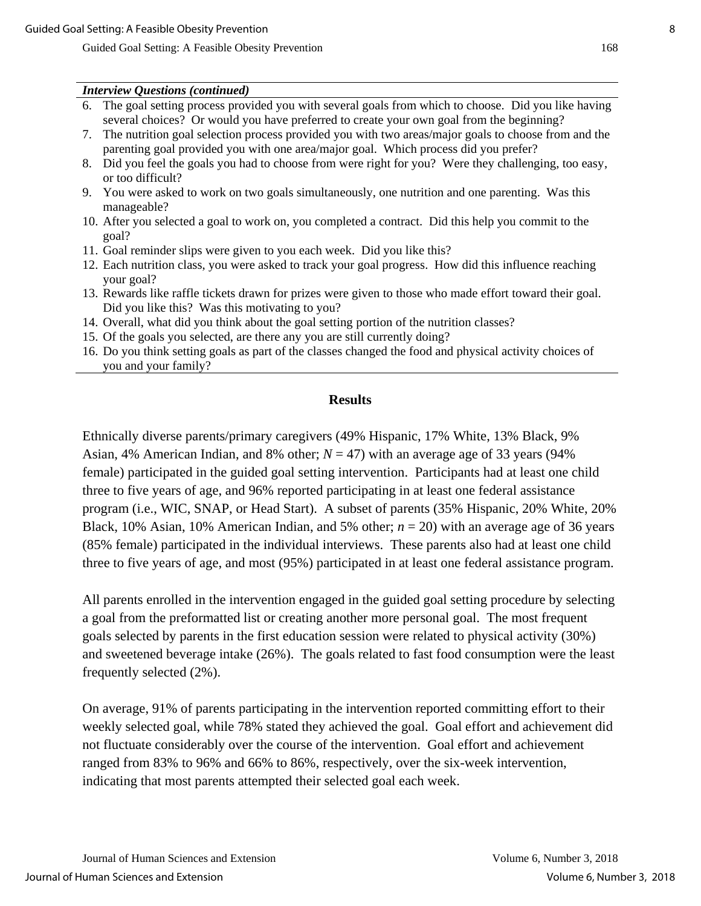#### *Interview Questions (continued)*

- 6. The goal setting process provided you with several goals from which to choose. Did you like having several choices? Or would you have preferred to create your own goal from the beginning?
- 7. The nutrition goal selection process provided you with two areas/major goals to choose from and the parenting goal provided you with one area/major goal. Which process did you prefer?
- 8. Did you feel the goals you had to choose from were right for you? Were they challenging, too easy, or too difficult?
- 9. You were asked to work on two goals simultaneously, one nutrition and one parenting. Was this manageable?
- 10. After you selected a goal to work on, you completed a contract. Did this help you commit to the goal?
- 11. Goal reminder slips were given to you each week. Did you like this?
- 12. Each nutrition class, you were asked to track your goal progress. How did this influence reaching your goal?
- 13. Rewards like raffle tickets drawn for prizes were given to those who made effort toward their goal. Did you like this? Was this motivating to you?
- 14. Overall, what did you think about the goal setting portion of the nutrition classes?
- 15. Of the goals you selected, are there any you are still currently doing?
- 16. Do you think setting goals as part of the classes changed the food and physical activity choices of you and your family?

#### **Results**

Ethnically diverse parents/primary caregivers (49% Hispanic, 17% White, 13% Black, 9% Asian, 4% American Indian, and 8% other;  $N = 47$ ) with an average age of 33 years (94%) female) participated in the guided goal setting intervention. Participants had at least one child three to five years of age, and 96% reported participating in at least one federal assistance program (i.e., WIC, SNAP, or Head Start). A subset of parents (35% Hispanic, 20% White, 20% Black, 10% Asian, 10% American Indian, and 5% other;  $n = 20$ ) with an average age of 36 years (85% female) participated in the individual interviews. These parents also had at least one child three to five years of age, and most (95%) participated in at least one federal assistance program.

All parents enrolled in the intervention engaged in the guided goal setting procedure by selecting a goal from the preformatted list or creating another more personal goal. The most frequent goals selected by parents in the first education session were related to physical activity (30%) and sweetened beverage intake (26%). The goals related to fast food consumption were the least frequently selected (2%).

On average, 91% of parents participating in the intervention reported committing effort to their weekly selected goal, while 78% stated they achieved the goal. Goal effort and achievement did not fluctuate considerably over the course of the intervention. Goal effort and achievement ranged from 83% to 96% and 66% to 86%, respectively, over the six-week intervention, indicating that most parents attempted their selected goal each week.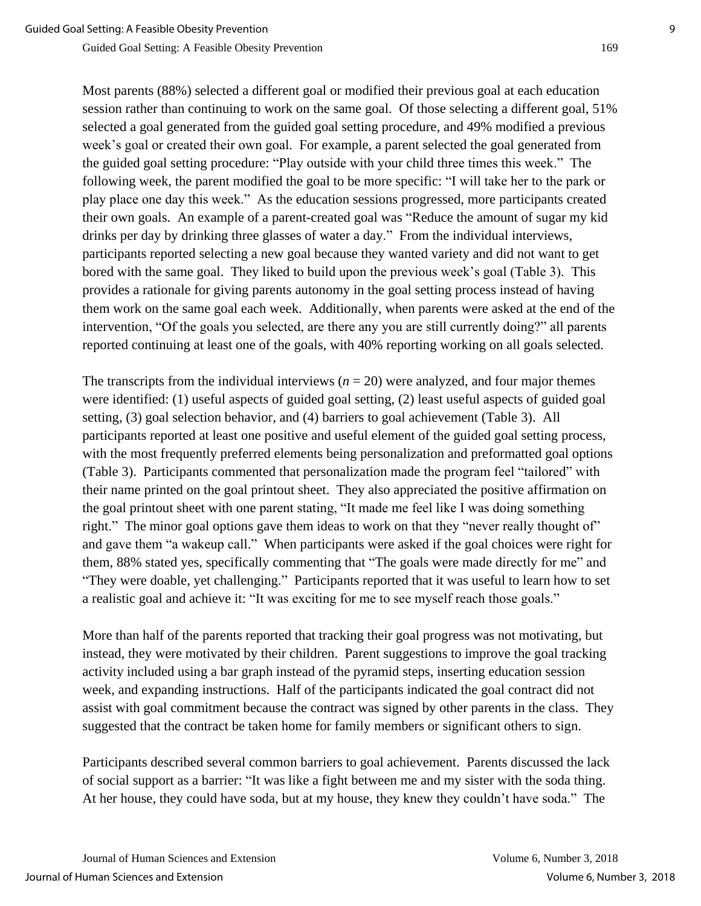Most parents (88%) selected a different goal or modified their previous goal at each education session rather than continuing to work on the same goal. Of those selecting a different goal, 51% selected a goal generated from the guided goal setting procedure, and 49% modified a previous week's goal or created their own goal. For example, a parent selected the goal generated from the guided goal setting procedure: "Play outside with your child three times this week." The following week, the parent modified the goal to be more specific: "I will take her to the park or play place one day this week." As the education sessions progressed, more participants created their own goals. An example of a parent-created goal was "Reduce the amount of sugar my kid drinks per day by drinking three glasses of water a day." From the individual interviews, participants reported selecting a new goal because they wanted variety and did not want to get bored with the same goal. They liked to build upon the previous week's goal (Table 3). This provides a rationale for giving parents autonomy in the goal setting process instead of having them work on the same goal each week. Additionally, when parents were asked at the end of the intervention, "Of the goals you selected, are there any you are still currently doing?" all parents reported continuing at least one of the goals, with 40% reporting working on all goals selected.

The transcripts from the individual interviews  $(n = 20)$  were analyzed, and four major themes were identified: (1) useful aspects of guided goal setting, (2) least useful aspects of guided goal setting, (3) goal selection behavior, and (4) barriers to goal achievement (Table 3). All participants reported at least one positive and useful element of the guided goal setting process, with the most frequently preferred elements being personalization and preformatted goal options (Table 3). Participants commented that personalization made the program feel "tailored" with their name printed on the goal printout sheet. They also appreciated the positive affirmation on the goal printout sheet with one parent stating, "It made me feel like I was doing something right." The minor goal options gave them ideas to work on that they "never really thought of" and gave them "a wakeup call." When participants were asked if the goal choices were right for them, 88% stated yes, specifically commenting that "The goals were made directly for me" and "They were doable, yet challenging." Participants reported that it was useful to learn how to set a realistic goal and achieve it: "It was exciting for me to see myself reach those goals."

More than half of the parents reported that tracking their goal progress was not motivating, but instead, they were motivated by their children. Parent suggestions to improve the goal tracking activity included using a bar graph instead of the pyramid steps, inserting education session week, and expanding instructions. Half of the participants indicated the goal contract did not assist with goal commitment because the contract was signed by other parents in the class. They suggested that the contract be taken home for family members or significant others to sign.

Participants described several common barriers to goal achievement. Parents discussed the lack of social support as a barrier: "It was like a fight between me and my sister with the soda thing. At her house, they could have soda, but at my house, they knew they couldn't have soda." The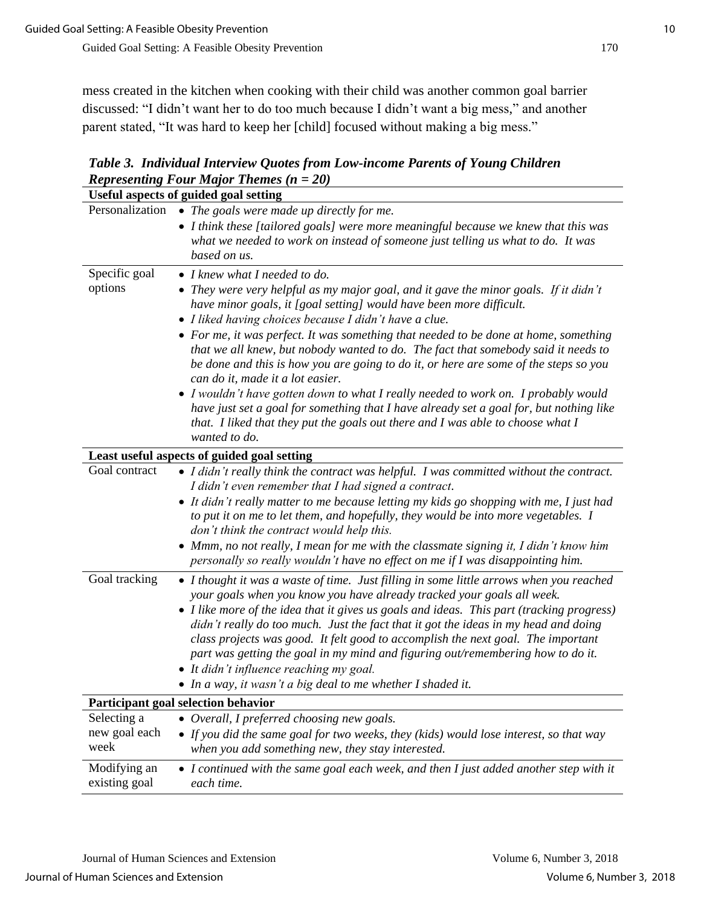mess created in the kitchen when cooking with their child was another common goal barrier discussed: "I didn't want her to do too much because I didn't want a big mess," and another parent stated, "It was hard to keep her [child] focused without making a big mess."

*Table 3. Individual Interview Quotes from Low-income Parents of Young Children Representing Four Major Themes (n = 20)*

| <b>Useful aspects of guided goal setting</b> |                                                                                                                                                                                                                                                                                                                                                                                                                                                                                                                                                                                                                                                                                                                                                                                                                                                       |  |  |  |  |  |
|----------------------------------------------|-------------------------------------------------------------------------------------------------------------------------------------------------------------------------------------------------------------------------------------------------------------------------------------------------------------------------------------------------------------------------------------------------------------------------------------------------------------------------------------------------------------------------------------------------------------------------------------------------------------------------------------------------------------------------------------------------------------------------------------------------------------------------------------------------------------------------------------------------------|--|--|--|--|--|
| Personalization                              | • The goals were made up directly for me.<br>• I think these [tailored goals] were more meaningful because we knew that this was<br>what we needed to work on instead of someone just telling us what to do. It was<br>based on us.                                                                                                                                                                                                                                                                                                                                                                                                                                                                                                                                                                                                                   |  |  |  |  |  |
| Specific goal<br>options                     | • I knew what I needed to do.<br>• They were very helpful as my major goal, and it gave the minor goals. If it didn't<br>have minor goals, it [goal setting] would have been more difficult.<br>• I liked having choices because I didn't have a clue.<br>• For me, it was perfect. It was something that needed to be done at home, something<br>that we all knew, but nobody wanted to do. The fact that somebody said it needs to<br>be done and this is how you are going to do it, or here are some of the steps so you<br>can do it, made it a lot easier.<br>• I wouldn't have gotten down to what I really needed to work on. I probably would<br>have just set a goal for something that I have already set a goal for, but nothing like<br>that. I liked that they put the goals out there and I was able to choose what I<br>wanted to do. |  |  |  |  |  |
| Least useful aspects of guided goal setting  |                                                                                                                                                                                                                                                                                                                                                                                                                                                                                                                                                                                                                                                                                                                                                                                                                                                       |  |  |  |  |  |
| Goal contract                                | • I didn't really think the contract was helpful. I was committed without the contract.<br>I didn't even remember that I had signed a contract.<br>• It didn't really matter to me because letting my kids go shopping with me, I just had<br>to put it on me to let them, and hopefully, they would be into more vegetables. I<br>don't think the contract would help this.<br>• Mmm, no not really, I mean for me with the classmate signing it, I didn't know him<br>personally so really wouldn't have no effect on me if I was disappointing him.                                                                                                                                                                                                                                                                                                |  |  |  |  |  |
| Goal tracking                                | • I thought it was a waste of time. Just filling in some little arrows when you reached<br>your goals when you know you have already tracked your goals all week.<br>• I like more of the idea that it gives us goals and ideas. This part (tracking progress)<br>didn't really do too much. Just the fact that it got the ideas in my head and doing<br>class projects was good. It felt good to accomplish the next goal. The important<br>part was getting the goal in my mind and figuring out/remembering how to do it.<br>• It didn't influence reaching my goal.<br>• In a way, it wasn't a big deal to me whether I shaded it.                                                                                                                                                                                                                |  |  |  |  |  |
|                                              | <b>Participant goal selection behavior</b>                                                                                                                                                                                                                                                                                                                                                                                                                                                                                                                                                                                                                                                                                                                                                                                                            |  |  |  |  |  |
| Selecting a<br>new goal each<br>week         | • Overall, I preferred choosing new goals.<br>• If you did the same goal for two weeks, they (kids) would lose interest, so that way<br>when you add something new, they stay interested.                                                                                                                                                                                                                                                                                                                                                                                                                                                                                                                                                                                                                                                             |  |  |  |  |  |
| Modifying an<br>existing goal                | • I continued with the same goal each week, and then I just added another step with it<br>each time.                                                                                                                                                                                                                                                                                                                                                                                                                                                                                                                                                                                                                                                                                                                                                  |  |  |  |  |  |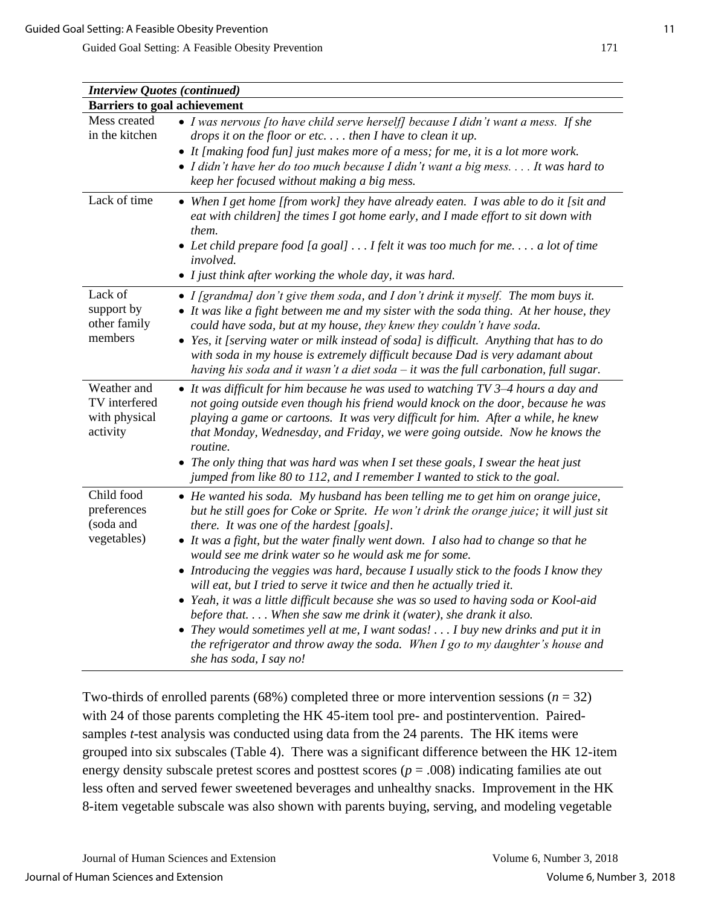| <b>Interview Quotes (continued)</b>                       |                                                                                                                                                                                                                                                                                                                                                                                                                                                                                                                                                                                                                                                                                                                                                                                                                                                                                                       |
|-----------------------------------------------------------|-------------------------------------------------------------------------------------------------------------------------------------------------------------------------------------------------------------------------------------------------------------------------------------------------------------------------------------------------------------------------------------------------------------------------------------------------------------------------------------------------------------------------------------------------------------------------------------------------------------------------------------------------------------------------------------------------------------------------------------------------------------------------------------------------------------------------------------------------------------------------------------------------------|
| <b>Barriers to goal achievement</b>                       |                                                                                                                                                                                                                                                                                                                                                                                                                                                                                                                                                                                                                                                                                                                                                                                                                                                                                                       |
| Mess created<br>in the kitchen                            | $\bullet$ I was nervous [to have child serve herself] because I didn't want a mess. If she<br>drops it on the floor or etc then I have to clean it up.<br>• It [making food fun] just makes more of a mess; for me, it is a lot more work.<br>• I didn't have her do too much because I didn't want a big mess It was hard to<br>keep her focused without making a big mess.                                                                                                                                                                                                                                                                                                                                                                                                                                                                                                                          |
| Lack of time                                              | • When I get home [from work] they have already eaten. I was able to do it [sit and<br>eat with children] the times I got home early, and I made effort to sit down with<br>them.<br>• Let child prepare food [a goal] $\dots$ I felt it was too much for me a lot of time<br><i>involved.</i><br>• I just think after working the whole day, it was hard.                                                                                                                                                                                                                                                                                                                                                                                                                                                                                                                                            |
| Lack of<br>support by<br>other family<br>members          | • I [grandma] don't give them soda, and I don't drink it myself. The mom buys it.<br>• It was like a fight between me and my sister with the soda thing. At her house, they<br>could have soda, but at my house, they knew they couldn't have soda.<br>• Yes, it [serving water or milk instead of soda] is difficult. Anything that has to do<br>with soda in my house is extremely difficult because Dad is very adamant about<br>having his soda and it wasn't a diet soda $-$ it was the full carbonation, full sugar.                                                                                                                                                                                                                                                                                                                                                                            |
| Weather and<br>TV interfered<br>with physical<br>activity | • It was difficult for him because he was used to watching TV 3-4 hours a day and<br>not going outside even though his friend would knock on the door, because he was<br>playing a game or cartoons. It was very difficult for him. After a while, he knew<br>that Monday, Wednesday, and Friday, we were going outside. Now he knows the<br>routine.<br>• The only thing that was hard was when I set these goals, I swear the heat just<br>jumped from like 80 to 112, and I remember I wanted to stick to the goal.                                                                                                                                                                                                                                                                                                                                                                                |
| Child food<br>preferences<br>(soda and<br>vegetables)     | • He wanted his soda. My husband has been telling me to get him on orange juice,<br>but he still goes for Coke or Sprite. He won't drink the orange juice; it will just sit<br>there. It was one of the hardest [goals].<br>• It was a fight, but the water finally went down. I also had to change so that he<br>would see me drink water so he would ask me for some.<br>• Introducing the veggies was hard, because I usually stick to the foods I know they<br>will eat, but I tried to serve it twice and then he actually tried it.<br>• Yeah, it was a little difficult because she was so used to having soda or Kool-aid<br>before that When she saw me drink it (water), she drank it also.<br>• They would sometimes yell at me, I want sodas! I buy new drinks and put it in<br>the refrigerator and throw away the soda. When I go to my daughter's house and<br>she has soda, I say no! |

Two-thirds of enrolled parents (68%) completed three or more intervention sessions ( $n = 32$ ) with 24 of those parents completing the HK 45-item tool pre- and postintervention. Pairedsamples *t*-test analysis was conducted using data from the 24 parents. The HK items were grouped into six subscales (Table 4). There was a significant difference between the HK 12-item energy density subscale pretest scores and posttest scores (*p* = .008) indicating families ate out less often and served fewer sweetened beverages and unhealthy snacks. Improvement in the HK 8-item vegetable subscale was also shown with parents buying, serving, and modeling vegetable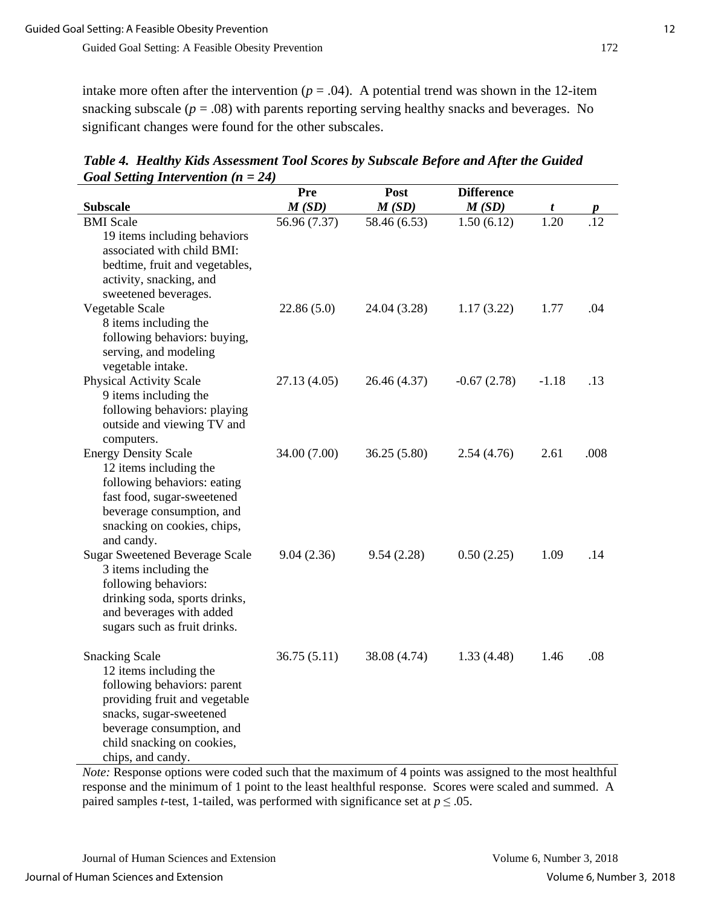intake more often after the intervention ( $p = .04$ ). A potential trend was shown in the 12-item snacking subscale  $(p = .08)$  with parents reporting serving healthy snacks and beverages. No significant changes were found for the other subscales.

| <b>Subscale</b>                                                                                                                                                                                                            | Pre<br>M(SD) | Post<br>M(SD) | <b>Difference</b><br>M(SD) |           |      |
|----------------------------------------------------------------------------------------------------------------------------------------------------------------------------------------------------------------------------|--------------|---------------|----------------------------|-----------|------|
| <b>BMI</b> Scale                                                                                                                                                                                                           | 56.96 (7.37) | 58.46 (6.53)  | 1.50(6.12)                 | t<br>1.20 |      |
| 19 items including behaviors<br>associated with child BMI:<br>bedtime, fruit and vegetables,<br>activity, snacking, and<br>sweetened beverages.                                                                            |              |               |                            |           |      |
| Vegetable Scale                                                                                                                                                                                                            | 22.86(5.0)   | 24.04 (3.28)  | 1.17(3.22)                 | 1.77      | .04  |
| 8 items including the<br>following behaviors: buying,<br>serving, and modeling<br>vegetable intake.                                                                                                                        |              |               |                            |           |      |
| <b>Physical Activity Scale</b><br>9 items including the<br>following behaviors: playing<br>outside and viewing TV and<br>computers.                                                                                        | 27.13 (4.05) | 26.46 (4.37)  | $-0.67(2.78)$              | $-1.18$   | .13  |
| <b>Energy Density Scale</b><br>12 items including the<br>following behaviors: eating<br>fast food, sugar-sweetened<br>beverage consumption, and<br>snacking on cookies, chips,<br>and candy.                               | 34.00 (7.00) | 36.25 (5.80)  | 2.54(4.76)                 | 2.61      | .008 |
| <b>Sugar Sweetened Beverage Scale</b><br>3 items including the<br>following behaviors:<br>drinking soda, sports drinks,<br>and beverages with added<br>sugars such as fruit drinks.                                        | 9.04(2.36)   | 9.54(2.28)    | 0.50(2.25)                 | 1.09      | .14  |
| <b>Snacking Scale</b><br>12 items including the<br>following behaviors: parent<br>providing fruit and vegetable<br>snacks, sugar-sweetened<br>beverage consumption, and<br>child snacking on cookies,<br>chips, and candy. | 36.75(5.11)  | 38.08 (4.74)  | 1.33(4.48)                 | 1.46      | .08  |

*Table 4. Healthy Kids Assessment Tool Scores by Subscale Before and After the Guided Goal Setting Intervention (n = 24)*

*Note:* Response options were coded such that the maximum of 4 points was assigned to the most healthful response and the minimum of 1 point to the least healthful response. Scores were scaled and summed. A paired samples *t*-test, 1-tailed, was performed with significance set at  $p \leq .05$ .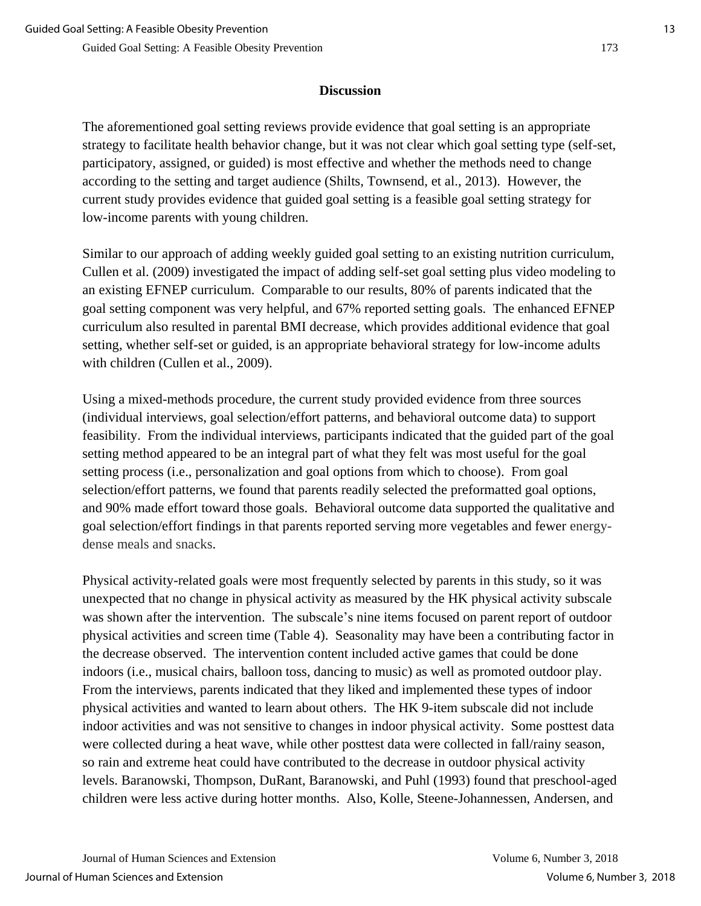#### **Discussion**

The aforementioned goal setting reviews provide evidence that goal setting is an appropriate strategy to facilitate health behavior change, but it was not clear which goal setting type (self-set, participatory, assigned, or guided) is most effective and whether the methods need to change according to the setting and target audience (Shilts, Townsend, et al., 2013). However, the current study provides evidence that guided goal setting is a feasible goal setting strategy for low-income parents with young children.

Similar to our approach of adding weekly guided goal setting to an existing nutrition curriculum, Cullen et al. (2009) investigated the impact of adding self-set goal setting plus video modeling to an existing EFNEP curriculum. Comparable to our results, 80% of parents indicated that the goal setting component was very helpful, and 67% reported setting goals. The enhanced EFNEP curriculum also resulted in parental BMI decrease, which provides additional evidence that goal setting, whether self-set or guided, is an appropriate behavioral strategy for low-income adults with children (Cullen et al., 2009).

Using a mixed-methods procedure, the current study provided evidence from three sources (individual interviews, goal selection/effort patterns, and behavioral outcome data) to support feasibility. From the individual interviews, participants indicated that the guided part of the goal setting method appeared to be an integral part of what they felt was most useful for the goal setting process (i.e., personalization and goal options from which to choose). From goal selection/effort patterns, we found that parents readily selected the preformatted goal options, and 90% made effort toward those goals. Behavioral outcome data supported the qualitative and goal selection/effort findings in that parents reported serving more vegetables and fewer energydense meals and snacks.

Physical activity-related goals were most frequently selected by parents in this study, so it was unexpected that no change in physical activity as measured by the HK physical activity subscale was shown after the intervention. The subscale's nine items focused on parent report of outdoor physical activities and screen time (Table 4). Seasonality may have been a contributing factor in the decrease observed. The intervention content included active games that could be done indoors (i.e., musical chairs, balloon toss, dancing to music) as well as promoted outdoor play. From the interviews, parents indicated that they liked and implemented these types of indoor physical activities and wanted to learn about others. The HK 9-item subscale did not include indoor activities and was not sensitive to changes in indoor physical activity. Some posttest data were collected during a heat wave, while other posttest data were collected in fall/rainy season, so rain and extreme heat could have contributed to the decrease in outdoor physical activity levels. Baranowski, Thompson, DuRant, Baranowski, and Puhl (1993) found that preschool-aged children were less active during hotter months. Also, Kolle, Steene-Johannessen, Andersen, and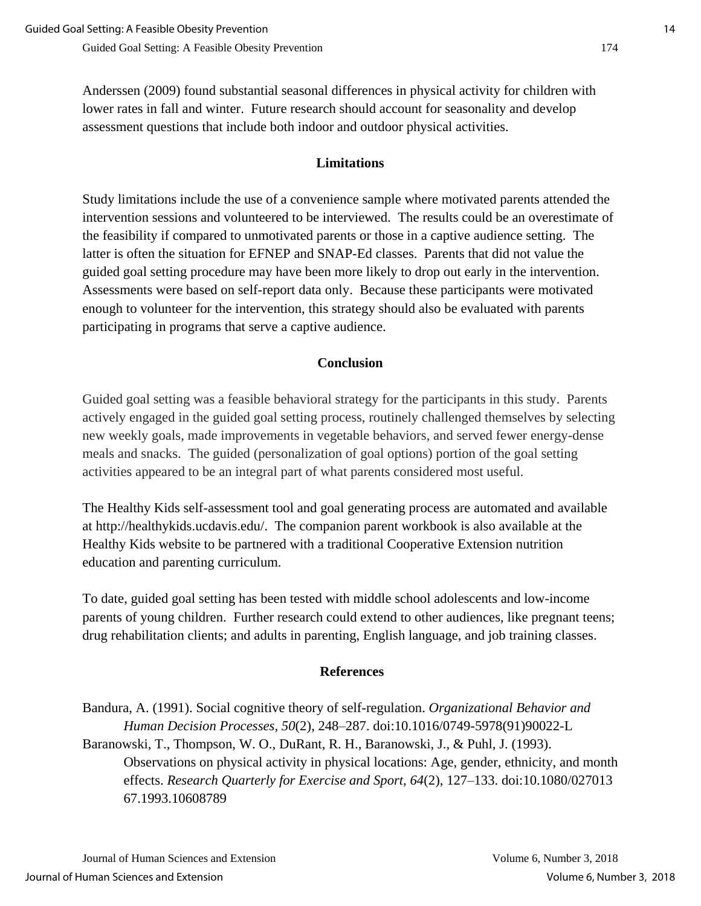Anderssen (2009) found substantial seasonal differences in physical activity for children with lower rates in fall and winter. Future research should account for seasonality and develop assessment questions that include both indoor and outdoor physical activities.

# **Limitations**

Study limitations include the use of a convenience sample where motivated parents attended the intervention sessions and volunteered to be interviewed. The results could be an overestimate of the feasibility if compared to unmotivated parents or those in a captive audience setting. The latter is often the situation for EFNEP and SNAP-Ed classes. Parents that did not value the guided goal setting procedure may have been more likely to drop out early in the intervention. Assessments were based on self-report data only. Because these participants were motivated enough to volunteer for the intervention, this strategy should also be evaluated with parents participating in programs that serve a captive audience.

## **Conclusion**

Guided goal setting was a feasible behavioral strategy for the participants in this study. Parents actively engaged in the guided goal setting process, routinely challenged themselves by selecting new weekly goals, made improvements in vegetable behaviors, and served fewer energy-dense meals and snacks. The guided (personalization of goal options) portion of the goal setting activities appeared to be an integral part of what parents considered most useful.

The Healthy Kids self-assessment tool and goal generating process are automated and available at http://healthykids.ucdavis.edu/. The companion parent workbook is also available at the Healthy Kids website to be partnered with a traditional Cooperative Extension nutrition education and parenting curriculum.

To date, guided goal setting has been tested with middle school adolescents and low-income parents of young children. Further research could extend to other audiences, like pregnant teens; drug rehabilitation clients; and adults in parenting, English language, and job training classes.

## **References**

Bandura, A. (1991). Social cognitive theory of self-regulation. *Organizational Behavior and Human Decision Processes, 50*(2), 248–287. doi:10.1016/0749-5978(91)90022-L Baranowski, T., Thompson, W. O., DuRant, R. H., Baranowski, J., & Puhl, J. (1993). Observations on physical activity in physical locations: Age, gender, ethnicity, and month effects. *Research Quarterly for Exercise and Sport, 64*(2), 127–133. doi:10.1080/027013 67.1993.10608789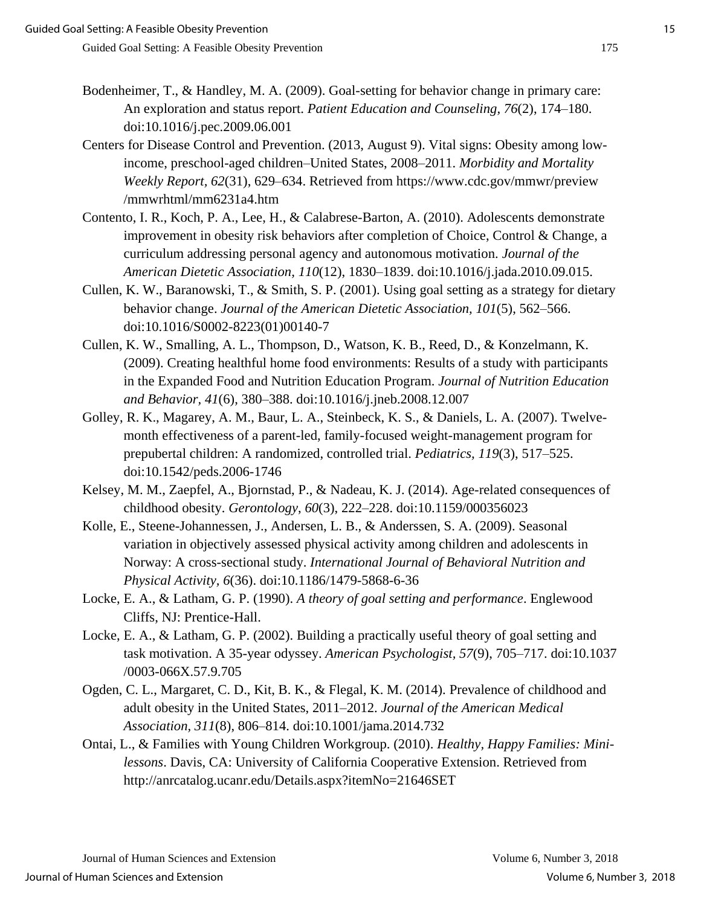- Bodenheimer, T., & Handley, M. A. (2009). Goal-setting for behavior change in primary care: An exploration and status report. *Patient Education and Counseling, 76*(2), 174–180. doi:10.1016/j.pec.2009.06.001
- Centers for Disease Control and Prevention. (2013, August 9). Vital signs: Obesity among lowincome, preschool-aged children–United States, 2008–2011. *Morbidity and Mortality Weekly Report, 62*(31), 629–634. Retrieved from https://www.cdc.gov/mmwr/preview /mmwrhtml/mm6231a4.htm
- Contento, I. R., Koch, P. A., Lee, H., & Calabrese-Barton, A. (2010). Adolescents demonstrate improvement in obesity risk behaviors after completion of Choice, Control & Change, a curriculum addressing personal agency and autonomous motivation. *Journal of the American Dietetic Association, 110*(12), 1830–1839. doi:10.1016/j.jada.2010.09.015.
- Cullen, K. W., Baranowski, T., & Smith, S. P. (2001). Using goal setting as a strategy for dietary behavior change. *Journal of the American Dietetic Association, 101*(5), 562–566. doi:10.1016/S0002-8223(01)00140-7
- Cullen, K. W., Smalling, A. L., Thompson, D., Watson, K. B., Reed, D., & Konzelmann, K. (2009). Creating healthful home food environments: Results of a study with participants in the Expanded Food and Nutrition Education Program. *Journal of Nutrition Education and Behavior, 41*(6), 380–388. doi:10.1016/j.jneb.2008.12.007
- Golley, R. K., Magarey, A. M., Baur, L. A., Steinbeck, K. S., & Daniels, L. A. (2007). Twelvemonth effectiveness of a parent-led, family-focused weight-management program for prepubertal children: A randomized, controlled trial. *Pediatrics, 119*(3), 517–525. doi:10.1542/peds.2006-1746
- Kelsey, M. M., Zaepfel, A., Bjornstad, P., & Nadeau, K. J. (2014). Age-related consequences of childhood obesity. *Gerontology*, *60*(3), 222–228. doi:10.1159/000356023
- Kolle, E., Steene-Johannessen, J., Andersen, L. B., & Anderssen, S. A. (2009). Seasonal variation in objectively assessed physical activity among children and adolescents in Norway: A cross-sectional study. *International Journal of Behavioral Nutrition and Physical Activity, 6*(36). doi:10.1186/1479-5868-6-36
- Locke, E. A., & Latham, G. P. (1990). *A theory of goal setting and performance*. Englewood Cliffs, NJ: Prentice-Hall.
- Locke, E. A., & Latham, G. P. (2002). Building a practically useful theory of goal setting and task motivation. A 35-year odyssey. *American Psychologist, 57*(9), 705–717. doi:10.1037 /0003-066X.57.9.705
- Ogden, C. L., Margaret, C. D., Kit, B. K., & Flegal, K. M. (2014). Prevalence of childhood and adult obesity in the United States, 2011–2012. *Journal of the American Medical Association, 311*(8), 806–814. doi:10.1001/jama.2014.732
- Ontai, L., & Families with Young Children Workgroup. (2010). *Healthy, Happy Families: Minilessons*. Davis, CA: University of California Cooperative Extension. Retrieved from http://anrcatalog.ucanr.edu/Details.aspx?itemNo=21646SET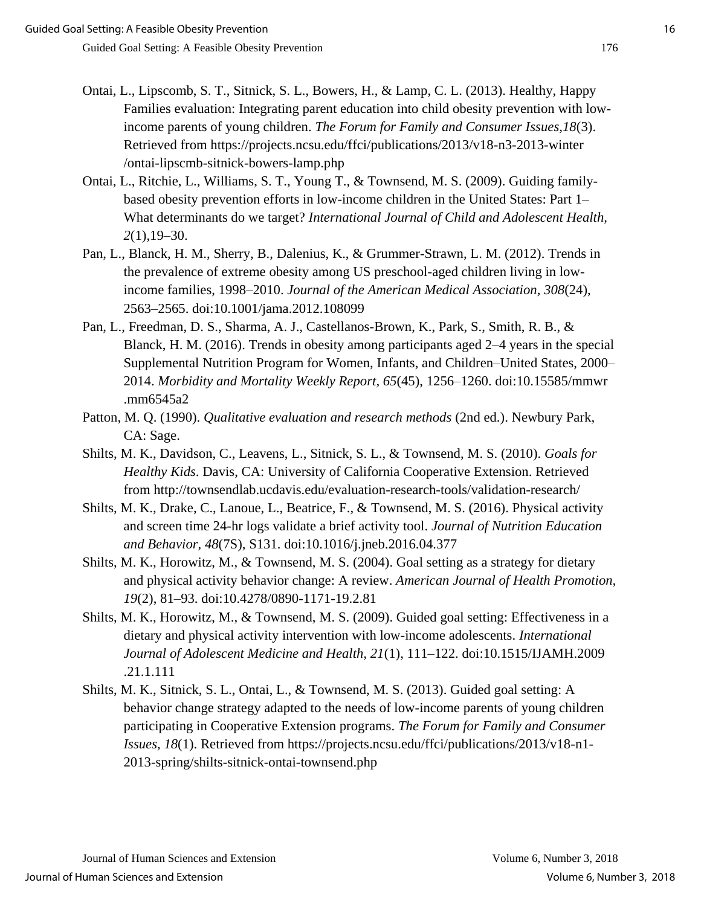- Ontai, L., Lipscomb, S. T., Sitnick, S. L., Bowers, H., & Lamp, C. L. (2013). Healthy, Happy Families evaluation: Integrating parent education into child obesity prevention with lowincome parents of young children. *The Forum for Family and Consumer Issues,18*(3). Retrieved from https://projects.ncsu.edu/ffci/publications/2013/v18-n3-2013-winter /ontai-lipscmb-sitnick-bowers-lamp.php
- Ontai, L., Ritchie, L., Williams, S. T., Young T., & Townsend, M. S. (2009). Guiding familybased obesity prevention efforts in low-income children in the United States: Part 1– What determinants do we target? *International Journal of Child and Adolescent Health, 2*(1),19–30.
- Pan, L., Blanck, H. M., Sherry, B., Dalenius, K., & Grummer-Strawn, L. M. (2012). Trends in the prevalence of extreme obesity among US preschool-aged children living in lowincome families, 1998–2010. *Journal of the American Medical Association, 308*(24), 2563–2565. doi:10.1001/jama.2012.108099
- Pan, L., Freedman, D. S., Sharma, A. J., Castellanos-Brown, K., Park, S., Smith, R. B., & Blanck, H. M. (2016). Trends in obesity among participants aged 2–4 years in the special Supplemental Nutrition Program for Women, Infants, and Children–United States, 2000– 2014. *Morbidity and Mortality Weekly Report, 65*(45), 1256–1260. doi:10.15585/mmwr .mm6545a2
- Patton, M. Q. (1990). *Qualitative evaluation and research methods* (2nd ed.). Newbury Park, CA: Sage.
- Shilts, M. K., Davidson, C., Leavens, L., Sitnick, S. L., & Townsend, M. S. (2010). *Goals for Healthy Kids*. Davis, CA: University of California Cooperative Extension. Retrieved from http://townsendlab.ucdavis.edu/evaluation-research-tools/validation-research/
- Shilts, M. K., Drake, C., Lanoue, L., Beatrice, F., & Townsend, M. S. (2016). Physical activity and screen time 24-hr logs validate a brief activity tool. *Journal of Nutrition Education and Behavior*, *48*(7S), S131. doi:10.1016/j.jneb.2016.04.377
- Shilts, M. K., Horowitz, M., & Townsend, M. S. (2004). Goal setting as a strategy for dietary and physical activity behavior change: A review. *American Journal of Health Promotion, 19*(2), 81–93. doi:10.4278/0890-1171-19.2.81
- Shilts, M. K., Horowitz, M., & Townsend, M. S. (2009). Guided goal setting: Effectiveness in a dietary and physical activity intervention with low-income adolescents. *International Journal of Adolescent Medicine and Health, 21*(1), 111–122. doi:10.1515/IJAMH.2009 .21.1.111
- Shilts, M. K., Sitnick, S. L., Ontai, L., & Townsend, M. S. (2013). Guided goal setting: A behavior change strategy adapted to the needs of low-income parents of young children participating in Cooperative Extension programs. *The Forum for Family and Consumer Issues, 18*(1). Retrieved from https://projects.ncsu.edu/ffci/publications/2013/v18-n1- 2013-spring/shilts-sitnick-ontai-townsend.php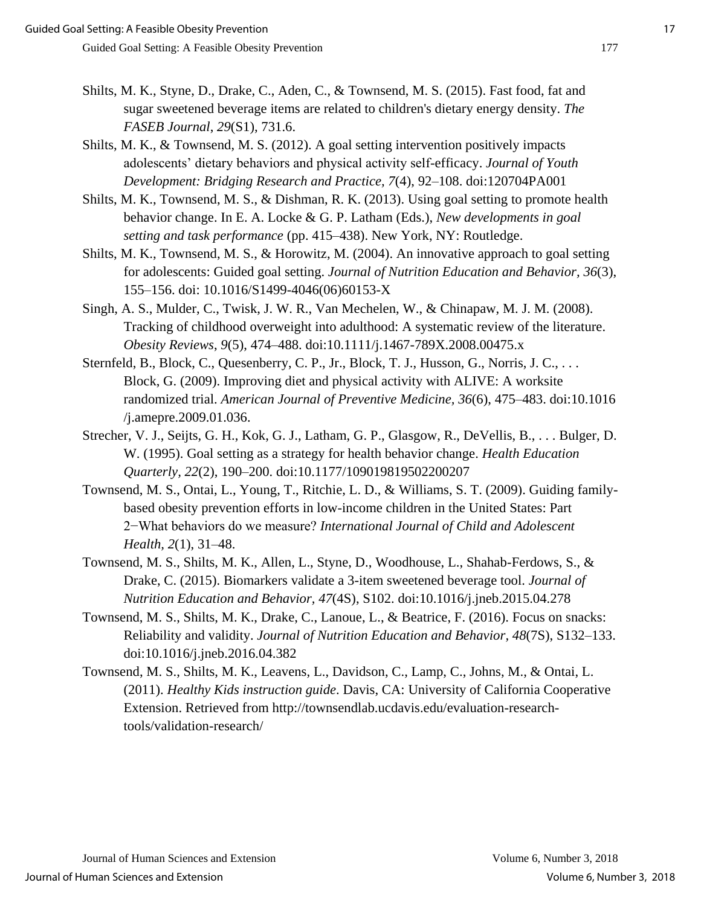- Shilts, M. K., Styne, D., Drake, C., Aden, C., & Townsend, M. S. (2015). Fast food, fat and sugar sweetened beverage items are related to children's dietary energy density. *The FASEB Journal*, *29*(S1), 731.6.
- Shilts, M. K., & Townsend, M. S. (2012). A goal setting intervention positively impacts adolescents' dietary behaviors and physical activity self-efficacy. *Journal of Youth Development: Bridging Research and Practice, 7*(4), 92–108. doi:120704PA001
- Shilts, M. K., Townsend, M. S., & Dishman, R. K. (2013). Using goal setting to promote health behavior change. In E. A. Locke & G. P. Latham (Eds.), *New developments in goal setting and task performance* (pp. 415–438). New York, NY: Routledge.
- Shilts, M. K., Townsend, M. S., & Horowitz, M. (2004). An innovative approach to goal setting for adolescents: Guided goal setting. *Journal of Nutrition Education and Behavior, 36*(3), 155–156. doi: 10.1016/S1499-4046(06)60153-X
- Singh, A. S., Mulder, C., Twisk, J. W. R., Van Mechelen, W., & Chinapaw, M. J. M. (2008). Tracking of childhood overweight into adulthood: A systematic review of the literature. *Obesity Reviews*, *9*(5), 474–488. doi:10.1111/j.1467-789X.2008.00475.x
- Sternfeld, B., Block, C., Quesenberry, C. P., Jr., Block, T. J., Husson, G., Norris, J. C., ... Block, G. (2009). Improving diet and physical activity with ALIVE: A worksite randomized trial. *American Journal of Preventive Medicine, 36*(6), 475–483. doi:10.1016 /j.amepre.2009.01.036.
- Strecher, V. J., Seijts, G. H., Kok, G. J., Latham, G. P., Glasgow, R., DeVellis, B., . . . Bulger, D. W. (1995). Goal setting as a strategy for health behavior change. *Health Education Quarterly, 22*(2), 190–200. doi:10.1177/109019819502200207
- Townsend, M. S., Ontai, L., Young, T., Ritchie, L. D., & Williams, S. T. (2009). Guiding familybased obesity prevention efforts in low-income children in the United States: Part 2−What behaviors do we measure? *International Journal of Child and Adolescent Health, 2*(1), 31–48.
- Townsend, M. S., Shilts, M. K., Allen, L., Styne, D., Woodhouse, L., Shahab-Ferdows, S., & Drake, C. (2015). Biomarkers validate a 3-item sweetened beverage tool. *Journal of Nutrition Education and Behavior, 47*(4S), S102. doi:10.1016/j.jneb.2015.04.278
- Townsend, M. S., Shilts, M. K., Drake, C., Lanoue, L., & Beatrice, F. (2016). Focus on snacks: Reliability and validity. *Journal of Nutrition Education and Behavior, 48*(7S), S132–133. doi:10.1016/j.jneb.2016.04.382
- Townsend, M. S., Shilts, M. K., Leavens, L., Davidson, C., Lamp, C., Johns, M., & Ontai, L. (2011). *Healthy Kids instruction guide*. Davis, CA: University of California Cooperative Extension. Retrieved from http://townsendlab.ucdavis.edu/evaluation-researchtools/validation-research/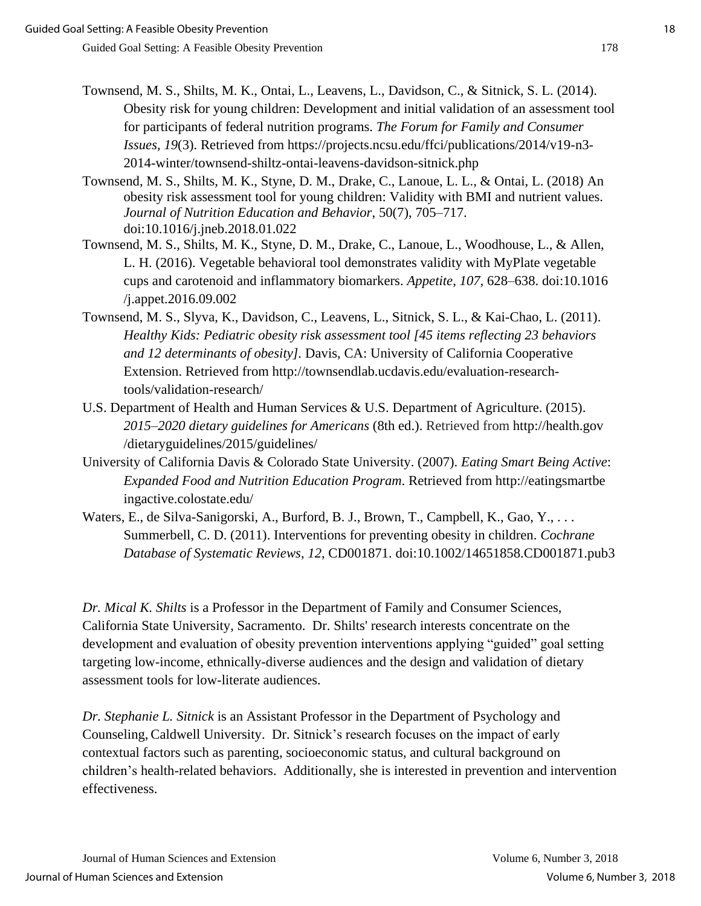- Townsend, M. S., Shilts, M. K., Ontai, L., Leavens, L., Davidson, C., & Sitnick, S. L. (2014). Obesity risk for young children: Development and initial validation of an assessment tool for participants of federal nutrition programs. *The Forum for Family and Consumer Issues, 19*(3). Retrieved from https://projects.ncsu.edu/ffci/publications/2014/v19-n3- 2014-winter/townsend-shiltz-ontai-leavens-davidson-sitnick.php
- Townsend, M. S., Shilts, M. K., Styne, D. M., Drake, C., Lanoue, L. L., & Ontai, L. (2018) An obesity risk assessment tool for young children: Validity with BMI and nutrient values. *Journal of Nutrition Education and Behavior*, 50(7), 705–717. doi:10.1016/j.jneb.2018.01.022
- Townsend, M. S., Shilts, M. K., Styne, D. M., Drake, C., Lanoue, L., Woodhouse, L., & Allen, L. H. (2016). Vegetable behavioral tool demonstrates validity with MyPlate vegetable cups and carotenoid and inflammatory biomarkers. *Appetite*, *107,* 628–638. doi:10.1016 /j.appet.2016.09.002
- Townsend, M. S., Slyva, K., Davidson, C., Leavens, L., Sitnick, S. L., & Kai-Chao, L. (2011). *Healthy Kids: Pediatric obesity risk assessment tool [45 items reflecting 23 behaviors and 12 determinants of obesity].* Davis, CA: University of California Cooperative Extension. Retrieved from http://townsendlab.ucdavis.edu/evaluation-researchtools/validation-research/
- U.S. Department of Health and Human Services & U.S. Department of Agriculture. (2015). *2015–2020 dietary guidelines for Americans* (8th ed.). Retrieved from http://health.gov /dietaryguidelines/2015/guidelines/
- University of California Davis & Colorado State University. (2007). *Eating Smart Being Active*: *Expanded Food and Nutrition Education Program*. Retrieved from http://eatingsmartbe ingactive.colostate.edu/
- Waters, E., de Silva-Sanigorski, A., Burford, B. J., Brown, T., Campbell, K., Gao, Y., ... Summerbell, C. D. (2011). Interventions for preventing obesity in children. *Cochrane Database of Systematic Reviews*, *12*, CD001871. doi:10.1002/14651858.CD001871.pub3

*Dr. Mical K. Shilts* is a Professor in the Department of Family and Consumer Sciences, California State University, Sacramento. Dr. Shilts' research interests concentrate on the development and evaluation of obesity prevention interventions applying "guided" goal setting targeting low-income, ethnically-diverse audiences and the design and validation of dietary assessment tools for low-literate audiences.

*Dr. Stephanie L. Sitnick* is an Assistant Professor in the Department of Psychology and Counseling,Caldwell University. Dr. Sitnick's research focuses on the impact of early contextual factors such as parenting, socioeconomic status, and cultural background on children's health-related behaviors. Additionally, she is interested in prevention and intervention effectiveness.